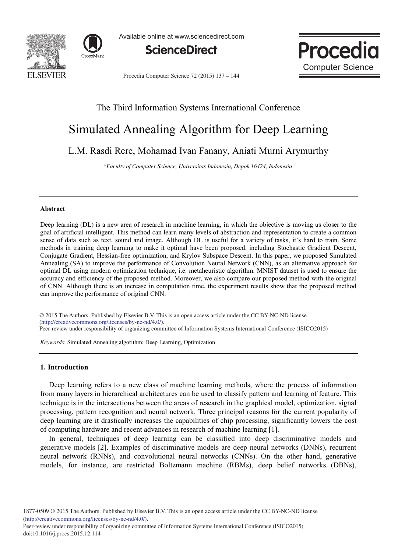



Available online at www.sciencedirect.com





Procedia Computer Science 72 (2015) 137 - 144

### The Third Information Systems International Conference

# Simulated Annealing Algorithm for Deep Learning

## L.M. Rasdi Rere, Mohamad Ivan Fanany, Aniati Murni Arymurthy

*a Faculty of Computer Science, Universitas Indonesia, Depok 16424, Indonesia*

#### **Abstract**

Deep learning (DL) is a new area of research in machine learning, in which the objective is moving us closer to the goal of artificial intelligent. This method can learn many levels of abstraction and representation to create a common sense of data such as text, sound and image. Although DL is useful for a variety of tasks, it's hard to train. Some methods in training deep learning to make it optimal have been proposed, including Stochastic Gradient Descent, Conjugate Gradient, Hessian-free optimization, and Krylov Subspace Descent. In this paper, we proposed Simulated Annealing (SA) to improve the performance of Convolution Neural Network (CNN), as an alternative approach for optimal DL using modern optimization technique, i.e. metaheuristic algorithm. MNIST dataset is used to ensure the accuracy and efficiency of the proposed method. Moreover, we also compare our proposed method with the original of CNN. Although there is an increase in computation time, the experiment results show that the proposed method can improve the performance of original CNN.

 $\degree$  2015 The Authors. Published by Elsevier B.V. This is an open access article under the CC BY-NC-ND license<br>(http://creativecommons.org/licenses/by no. pd/4.00) committee of The Third Information Systems International Conference (ISICO 2015) Peer-review under responsibility of organizing committee of Information Systems International Conference (ISICO2015)(http://creativecommons.org/licenses/by-nc-nd/4.0/).

*Keywords*: Simulated Annealing algorithm; Deep Learning, Optimization

#### **1. Introduction**

Deep learning refers to a new class of machine learning methods, where the process of information from many layers in hierarchical architectures can be used to classify pattern and learning of feature. This technique is in the intersections between the areas of research in the graphical model, optimization, signal processing, pattern recognition and neural network. Three principal reasons for the current popularity of deep learning are it drastically increases the capabilities of chip processing, significantly lowers the cost of computing hardware and recent advances in research of machine learning [1].

In general, techniques of deep learning can be classified into deep discriminative models and generative models [2]. Examples of discriminative models are deep neural networks (DNNs), recurrent neural network (RNNs), and convolutional neural networks (CNNs). On the other hand, generative models, for instance, are restricted Boltzmann machine (RBMs), deep belief networks (DBNs),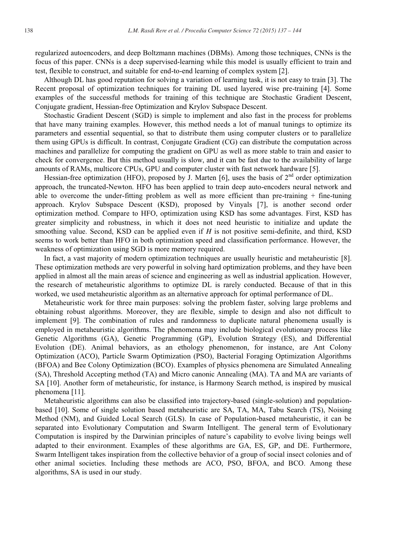regularized autoencoders, and deep Boltzmann machines (DBMs). Among those techniques, CNNs is the focus of this paper. CNNs is a deep supervised-learning while this model is usually efficient to train and test, flexible to construct, and suitable for end-to-end learning of complex system [2].

Although DL has good reputation for solving a variation of learning task, it is not easy to train [3]. The Recent proposal of optimization techniques for training DL used layered wise pre-training [4]. Some examples of the successful methods for training of this technique are Stochastic Gradient Descent, Conjugate gradient, Hessian-free Optimization and Krylov Subspace Descent.

Stochastic Gradient Descent (SGD) is simple to implement and also fast in the process for problems that have many training examples. However, this method needs a lot of manual tunings to optimize its parameters and essential sequential, so that to distribute them using computer clusters or to parallelize them using GPUs is difficult. In contrast, Conjugate Gradient (CG) can distribute the computation across machines and parallelize for computing the gradient on GPU as well as more stable to train and easier to check for convergence. But this method usually is slow, and it can be fast due to the availability of large amounts of RAMs, multicore CPUs, GPU and computer cluster with fast network hardware [5].

Hessian-free optimization (HFO), proposed by J. Marten [6], uses the basis of  $2<sup>nd</sup>$  order optimization approach, the truncated-Newton. HFO has been applied to train deep auto-encoders neural network and able to overcome the under-fitting problem as well as more efficient than pre-training + fine-tuning approach. Krylov Subspace Descent (KSD), proposed by Vinyals [7], is another second order optimization method. Compare to HFO, optimization using KSD has some advantages. First, KSD has greater simplicity and robustness, in which it does not need heuristic to initialize and update the smoothing value. Second, KSD can be applied even if *H* is not positive semi-definite, and third, KSD seems to work better than HFO in both optimization speed and classification performance. However, the weakness of optimization using SGD is more memory required.

In fact, a vast majority of modern optimization techniques are usually heuristic and metaheuristic [8]. These optimization methods are very powerful in solving hard optimization problems, and they have been applied in almost all the main areas of science and engineering as well as industrial application. However, the research of metaheuristic algorithms to optimize DL is rarely conducted. Because of that in this worked, we used metaheuristic algorithm as an alternative approach for optimal performance of DL.

Metaheuristic work for three main purposes: solving the problem faster, solving large problems and obtaining robust algorithms. Moreover, they are flexible, simple to design and also not difficult to implement [9]. The combination of rules and randomness to duplicate natural phenomena usually is employed in metaheuristic algorithms. The phenomena may include biological evolutionary process like Genetic Algorithms (GA), Genetic Programming (GP), Evolution Strategy (ES), and Differential Evolution (DE). Animal behaviors, as an ethology phenomenon, for instance, are Ant Colony Optimization (ACO), Particle Swarm Optimization (PSO), Bacterial Foraging Optimization Algorithms (BFOA) and Bee Colony Optimization (BCO). Examples of physics phenomena are Simulated Annealing (SA), Threshold Accepting method (TA) and Micro canonic Annealing (MA). TA and MA are variants of SA [10]. Another form of metaheuristic, for instance, is Harmony Search method, is inspired by musical phenomena [11].

Metaheuristic algorithms can also be classified into trajectory-based (single-solution) and populationbased [10]. Some of single solution based metaheuristic are SA, TA, MA, Tabu Search (TS), Noising Method (NM), and Guided Local Search (GLS). In case of Population-based metaheuristic, it can be separated into Evolutionary Computation and Swarm Intelligent. The general term of Evolutionary Computation is inspired by the Darwinian principles of nature's capability to evolve living beings well adapted to their environment. Examples of these algorithms are GA, ES, GP, and DE. Furthermore, Swarm Intelligent takes inspiration from the collective behavior of a group of social insect colonies and of other animal societies. Including these methods are ACO, PSO, BFOA, and BCO. Among these algorithms, SA is used in our study.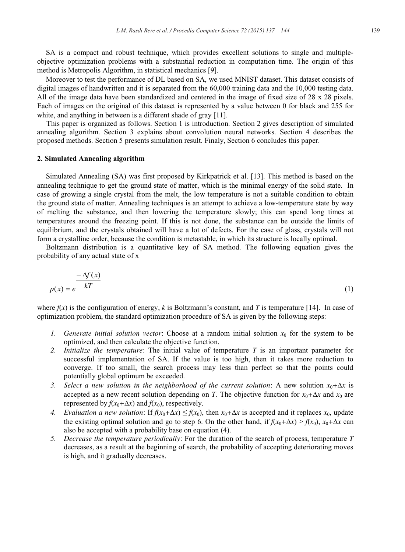SA is a compact and robust technique, which provides excellent solutions to single and multipleobjective optimization problems with a substantial reduction in computation time. The origin of this method is Metropolis Algorithm, in statistical mechanics [9].

Moreover to test the performance of DL based on SA, we used MNIST dataset. This dataset consists of digital images of handwritten and it is separated from the 60,000 training data and the 10,000 testing data. All of the image data have been standardized and centered in the image of fixed size of 28 x 28 pixels. Each of images on the original of this dataset is represented by a value between 0 for black and 255 for white, and anything in between is a different shade of gray [11].

 This paper is organized as follows. Section 1 is introduction. Section 2 gives description of simulated annealing algorithm. Section 3 explains about convolution neural networks. Section 4 describes the proposed methods. Section 5 presents simulation result. Finaly, Section 6 concludes this paper.

#### **2. Simulated Annealing algorithm**

Simulated Annealing (SA) was first proposed by Kirkpatrick et al. [13]. This method is based on the annealing technique to get the ground state of matter, which is the minimal energy of the solid state. In case of growing a single crystal from the melt, the low temperature is not a suitable condition to obtain the ground state of matter. Annealing techniques is an attempt to achieve a low-temperature state by way of melting the substance, and then lowering the temperature slowly; this can spend long times at temperatures around the freezing point. If this is not done, the substance can be outside the limits of equilibrium, and the crystals obtained will have a lot of defects. For the case of glass, crystals will not form a crystalline order, because the condition is metastable, in which its structure is locally optimal.

Boltzmann distribution is a quantitative key of SA method. The following equation gives the probability of any actual state of x

$$
p(x) = e^{\frac{-\Delta f(x)}{kT}}
$$
 (1)

where  $f(x)$  is the configuration of energy, k is Boltzmann's constant, and T is temperature [14]. In case of optimization problem, the standard optimization procedure of SA is given by the following steps:

- *1. Generate initial solution vector:* Choose at a random initial solution  $x_0$  for the system to be optimized, and then calculate the objective function.
- *2. Initialize the temperature*: The initial value of temperature *T* is an important parameter for successful implementation of SA. If the value is too high, then it takes more reduction to converge. If too small, the search process may less than perfect so that the points could potentially global optimum be exceeded.
- 3. *Select a new solution in the neighborhood of the current solution:* A new solution  $x_0 + \Delta x$  is accepted as a new recent solution depending on *T*. The objective function for  $x_0 + \Delta x$  and  $x_0$  are represented by  $f(x_0 + \Delta x)$  and  $f(x_0)$ , respectively.
- *4. Evaluation a new solution*: If  $f(x_0 + \Delta x) \le f(x_0)$ , then  $x_0 + \Delta x$  is accepted and it replaces  $x_0$ , update the existing optimal solution and go to step 6. On the other hand, if  $f(x_0 + \Delta x) > f(x_0)$ ,  $x_0 + \Delta x$  can also be accepted with a probability base on equation (4).
- *5. Decrease the temperature periodically*: For the duration of the search of process, temperature *T* decreases, as a result at the beginning of search, the probability of accepting deteriorating moves is high, and it gradually decreases.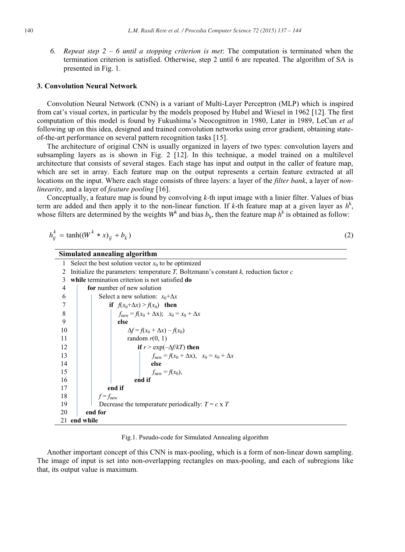*6. Repeat step 2 – 6 until a stopping criterion is met*: The computation is terminated when the termination criterion is satisfied. Otherwise, step 2 until 6 are repeated. The algorithm of SA is presented in Fig. 1.

#### **3. Convolution Neural Network**

**Simulated annealing algorithm**

Convolution Neural Network (CNN) is a variant of Multi-Layer Perceptron (MLP) which is inspired from cat's visual cortex, in particular by the models proposed by Hubel and Wiesel in 1962 [12]. The first computation of this model is found by Fukushima's Neocognitron in 1980, Later in 1989, LeCun *et al* following up on this idea, designed and trained convolution networks using error gradient, obtaining stateof-the-art performance on several pattern recognition tasks [15].

The architecture of original CNN is usually organized in layers of two types: convolution layers and subsampling layers as is shown in Fig. 2 [12]. In this technique, a model trained on a multilevel architecture that consists of several stages. Each stage has input and output in the caller of feature map, which are set in array. Each feature map on the output represents a certain feature extracted at all locations on the input. Where each stage consists of three layers: a layer of the *filter bank*, a layer of *nonlinearity*, and a layer of *feature pooling* [16].

Conceptually, a feature map is found by convolving *k-*th input image with a linier filter. Values of bias term are added and then apply it to the non-linear function. If  $k$ -th feature map at a given layer as  $h^k$ , whose filters are determined by the weights  $W^k$  and bias  $b_k$ , then the feature map  $\hat{h}^k$  is obtained as follow:

$$
h_{ij}^k = \tanh((W^k * x)_{ij} + b_k) \tag{2}
$$

| Sunurated annealing argorithm                                                                  |  |  |  |  |  |  |  |  |
|------------------------------------------------------------------------------------------------|--|--|--|--|--|--|--|--|
| Select the best solution vector $x_0$ to be optimized                                          |  |  |  |  |  |  |  |  |
| Initialize the parameters: temperature T, Boltzmann's constant $k$ , reduction factor $c$<br>2 |  |  |  |  |  |  |  |  |
| while termination criterion is not satisfied do<br>3                                           |  |  |  |  |  |  |  |  |
| for number of new solution<br>4                                                                |  |  |  |  |  |  |  |  |
| Select a new solution: $x_0+\Delta x$                                                          |  |  |  |  |  |  |  |  |
| 7<br>if $f(x_0+\Delta x) > f(x_0)$ then                                                        |  |  |  |  |  |  |  |  |
| $f_{\text{new}} = f(x_0 + \Delta x); \quad x_0 = x_0 + \Delta x$<br>8                          |  |  |  |  |  |  |  |  |
| 9<br>else                                                                                      |  |  |  |  |  |  |  |  |
| 10<br>$\Delta f = f(x_0 + \Delta x) - f(x_0)$                                                  |  |  |  |  |  |  |  |  |
| random $r(0, 1)$<br>11                                                                         |  |  |  |  |  |  |  |  |
| 12<br>if $r > \exp(-\Delta f/kT)$ then                                                         |  |  |  |  |  |  |  |  |
| $f_{\text{new}} = f(x_0 + \Delta x), \quad x_0 = x_0 + \Delta x$<br>13                         |  |  |  |  |  |  |  |  |
| 14<br>else                                                                                     |  |  |  |  |  |  |  |  |
| $f_{\text{new}} = f(x_0),$<br>15                                                               |  |  |  |  |  |  |  |  |
| 16<br>end if                                                                                   |  |  |  |  |  |  |  |  |
| end if<br>17                                                                                   |  |  |  |  |  |  |  |  |
| $f = f_{\text{new}}$                                                                           |  |  |  |  |  |  |  |  |
| Decrease the temperature periodically: $T = c \times T$                                        |  |  |  |  |  |  |  |  |
| end for<br>20                                                                                  |  |  |  |  |  |  |  |  |
| 21 end while                                                                                   |  |  |  |  |  |  |  |  |

#### Fig.1. Pseudo-code for Simulated Annealing algorithm

Another important concept of this CNN is max-pooling, which is a form of non-linear down sampling. The image of input is set into non-overlapping rectangles on max-pooling, and each of subregions like that, its output value is maximum.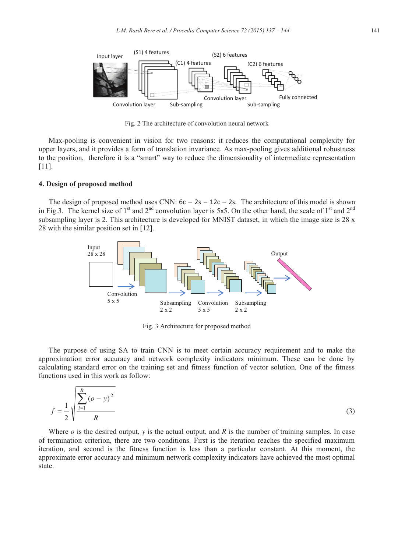

Fig. 2 The architecture of convolution neural network

Max-pooling is convenient in vision for two reasons: it reduces the computational complexity for upper layers, and it provides a form of translation invariance. As max-pooling gives additional robustness to the position, therefore it is a "smart" way to reduce the dimensionality of intermediate representation [11].

#### **4. Design of proposed method**

The design of proposed method uses CNN:  $6c - 2s - 12c - 2s$ . The architecture of this model is shown in Fig.3. The kernel size of 1<sup>st</sup> and 2<sup>nd</sup> convolution layer is 5x5. On the other hand, the scale of 1<sup>st</sup> and 2<sup>nd</sup> subsampling layer is 2. This architecture is developed for MNIST dataset, in which the image size is 28 x 28 with the similar position set in [12].



Fig. 3 Architecture for proposed method

The purpose of using SA to train CNN is to meet certain accuracy requirement and to make the approximation error accuracy and network complexity indicators minimum. These can be done by calculating standard error on the training set and fitness function of vector solution. One of the fitness functions used in this work as follow:

$$
f = \frac{1}{2} \sqrt{\frac{\sum_{i=1}^{R} (o - y)^2}{R}}
$$
 (3)

Where  $\sigma$  is the desired output,  $\gamma$  is the actual output, and  $R$  is the number of training samples. In case of termination criterion, there are two conditions. First is the iteration reaches the specified maximum iteration, and second is the fitness function is less than a particular constant. At this moment, the approximate error accuracy and minimum network complexity indicators have achieved the most optimal state.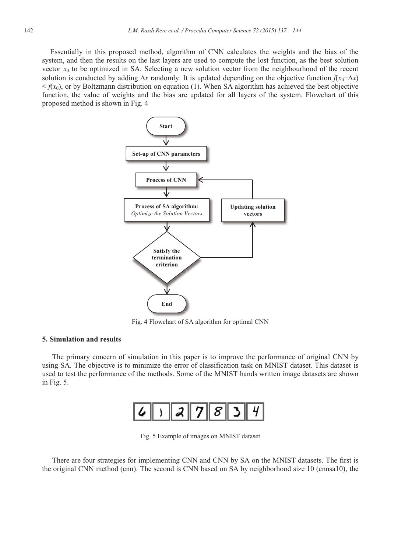Essentially in this proposed method, algorithm of CNN calculates the weights and the bias of the system, and then the results on the last layers are used to compute the lost function, as the best solution vector  $x_0$  to be optimized in SA. Selecting a new solution vector from the neighbourhood of the recent solution is conducted by adding  $\Delta x$  randomly. It is updated depending on the objective function  $f(x_0+\Delta x)$  $< f(x_0)$ , or by Boltzmann distribution on equation (1). When SA algorithm has achieved the best objective function, the value of weights and the bias are updated for all layers of the system. Flowchart of this proposed method is shown in Fig. 4



Fig. 4 Flowchart of SA algorithm for optimal CNN

#### **5. Simulation and results**

The primary concern of simulation in this paper is to improve the performance of original CNN by using SA. The objective is to minimize the error of classification task on MNIST dataset. This dataset is used to test the performance of the methods. Some of the MNIST hands written image datasets are shown in Fig. 5.



Fig. 5 Example of images on MNIST dataset

There are four strategies for implementing CNN and CNN by SA on the MNIST datasets. The first is the original CNN method (cnn). The second is CNN based on SA by neighborhood size 10 (cnnsa10), the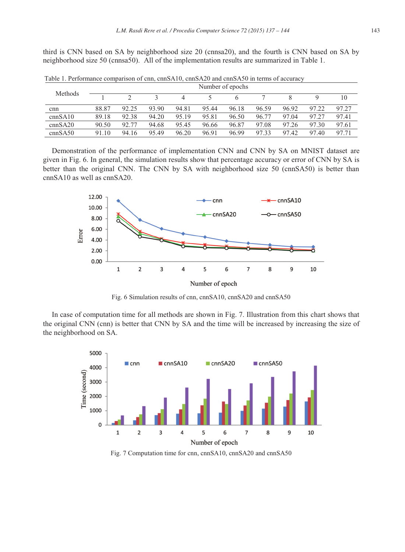third is CNN based on SA by neighborhood size 20 (cnnsa20), and the fourth is CNN based on SA by neighborhood size 50 (cnnsa50). All of the implementation results are summarized in Table 1.

| Methods                           | Number of epochs |       |       |       |       |       |       |       |       |       |
|-----------------------------------|------------------|-------|-------|-------|-------|-------|-------|-------|-------|-------|
|                                   |                  |       |       | 4     |       |       |       |       |       | 10    |
| cnn                               | 88.87            | 92.25 | 93.90 | 94.81 | 95.44 | 96.18 | 96.59 | 96.92 | 97.22 | 97.27 |
| cm <sub>1</sub> S <sub>4</sub> 10 | 89.18            | 92.38 | 94.20 | 95.19 | 95.81 | 96.50 | 96.77 | 97.04 | 97.27 | 97.41 |
| cnnSA20                           | 90.50            | 92.77 | 94.68 | 95.45 | 96.66 | 96.87 | 97.08 | 97.26 | 97.30 | 97.61 |
| cmSAS0                            | 91.10            | 94.16 | 95.49 | 96.20 | 96.91 | 96.99 | 97.33 | 97.42 | 97.40 | 97.71 |

Table 1. Performance comparison of cnn, cnnSA10, cnnSA20 and cnnSA50 in terms of accuracy

Demonstration of the performance of implementation CNN and CNN by SA on MNIST dataset are given in Fig. 6. In general, the simulation results show that percentage accuracy or error of CNN by SA is better than the original CNN. The CNN by SA with neighborhood size 50 (cnnSA50) is better than cnnSA10 as well as cnnSA20.



Fig. 6 Simulation results of cnn, cnnSA10, cnnSA20 and cnnSA50

In case of computation time for all methods are shown in Fig. 7. Illustration from this chart shows that the original CNN (cnn) is better that CNN by SA and the time will be increased by increasing the size of the neighborhood on SA.



Fig. 7 Computation time for cnn, cnnSA10, cnnSA20 and cnnSA50